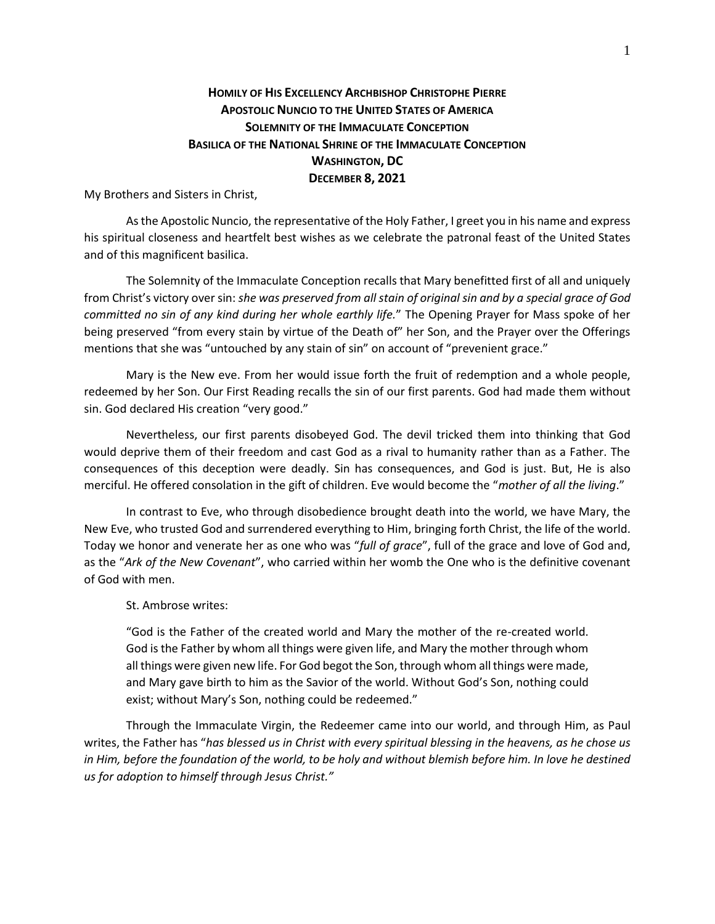## **HOMILY OF HIS EXCELLENCY ARCHBISHOP CHRISTOPHE PIERRE APOSTOLIC NUNCIO TO THE UNITED STATES OF AMERICA SOLEMNITY OF THE IMMACULATE CONCEPTION BASILICA OF THE NATIONAL SHRINE OF THE IMMACULATE CONCEPTION WASHINGTON, DC DECEMBER 8, 2021**

My Brothers and Sisters in Christ,

As the Apostolic Nuncio, the representative of the Holy Father, I greet you in his name and express his spiritual closeness and heartfelt best wishes as we celebrate the patronal feast of the United States and of this magnificent basilica.

The Solemnity of the Immaculate Conception recalls that Mary benefitted first of all and uniquely from Christ's victory over sin: *she was preserved from all stain of original sin and by a special grace of God committed no sin of any kind during her whole earthly life.*" The Opening Prayer for Mass spoke of her being preserved "from every stain by virtue of the Death of" her Son, and the Prayer over the Offerings mentions that she was "untouched by any stain of sin" on account of "prevenient grace."

Mary is the New eve. From her would issue forth the fruit of redemption and a whole people, redeemed by her Son. Our First Reading recalls the sin of our first parents. God had made them without sin. God declared His creation "very good."

Nevertheless, our first parents disobeyed God. The devil tricked them into thinking that God would deprive them of their freedom and cast God as a rival to humanity rather than as a Father. The consequences of this deception were deadly. Sin has consequences, and God is just. But, He is also merciful. He offered consolation in the gift of children. Eve would become the "*mother of all the living*."

In contrast to Eve, who through disobedience brought death into the world, we have Mary, the New Eve, who trusted God and surrendered everything to Him, bringing forth Christ, the life of the world. Today we honor and venerate her as one who was "*full of grace*", full of the grace and love of God and, as the "*Ark of the New Covenant*", who carried within her womb the One who is the definitive covenant of God with men.

## St. Ambrose writes:

"God is the Father of the created world and Mary the mother of the re-created world. God is the Father by whom all things were given life, and Mary the mother through whom all things were given new life. For God begot the Son, through whom all things were made, and Mary gave birth to him as the Savior of the world. Without God's Son, nothing could exist; without Mary's Son, nothing could be redeemed."

Through the Immaculate Virgin, the Redeemer came into our world, and through Him, as Paul writes, the Father has "*has blessed us in Christ with every spiritual blessing in the heavens, as he chose us in Him, before the foundation of the world, to be holy and without blemish before him. In love he destined us for adoption to himself through Jesus Christ."*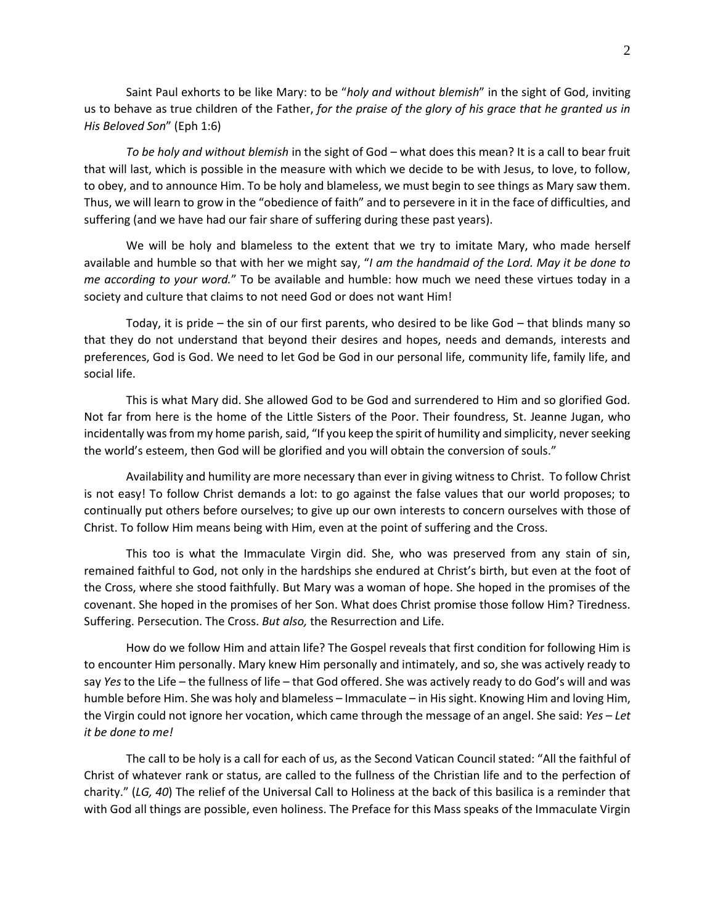Saint Paul exhorts to be like Mary: to be "*holy and without blemish*" in the sight of God, inviting us to behave as true children of the Father, *for the praise of the glory of his grace that he granted us in His Beloved Son*" (Eph 1:6)

*To be holy and without blemish* in the sight of God – what does this mean? It is a call to bear fruit that will last, which is possible in the measure with which we decide to be with Jesus, to love, to follow, to obey, and to announce Him. To be holy and blameless, we must begin to see things as Mary saw them. Thus, we will learn to grow in the "obedience of faith" and to persevere in it in the face of difficulties, and suffering (and we have had our fair share of suffering during these past years).

We will be holy and blameless to the extent that we try to imitate Mary, who made herself available and humble so that with her we might say, "*I am the handmaid of the Lord. May it be done to me according to your word.*" To be available and humble: how much we need these virtues today in a society and culture that claims to not need God or does not want Him!

Today, it is pride – the sin of our first parents, who desired to be like God – that blinds many so that they do not understand that beyond their desires and hopes, needs and demands, interests and preferences, God is God. We need to let God be God in our personal life, community life, family life, and social life.

This is what Mary did. She allowed God to be God and surrendered to Him and so glorified God. Not far from here is the home of the Little Sisters of the Poor. Their foundress, St. Jeanne Jugan, who incidentally was from my home parish, said, "If you keep the spirit of humility and simplicity, never seeking the world's esteem, then God will be glorified and you will obtain the conversion of souls."

Availability and humility are more necessary than ever in giving witness to Christ. To follow Christ is not easy! To follow Christ demands a lot: to go against the false values that our world proposes; to continually put others before ourselves; to give up our own interests to concern ourselves with those of Christ. To follow Him means being with Him, even at the point of suffering and the Cross.

This too is what the Immaculate Virgin did. She, who was preserved from any stain of sin, remained faithful to God, not only in the hardships she endured at Christ's birth, but even at the foot of the Cross, where she stood faithfully. But Mary was a woman of hope. She hoped in the promises of the covenant. She hoped in the promises of her Son. What does Christ promise those follow Him? Tiredness. Suffering. Persecution. The Cross. *But also,* the Resurrection and Life.

How do we follow Him and attain life? The Gospel reveals that first condition for following Him is to encounter Him personally. Mary knew Him personally and intimately, and so, she was actively ready to say *Yes* to the Life – the fullness of life – that God offered. She was actively ready to do God's will and was humble before Him. She was holy and blameless – Immaculate – in His sight. Knowing Him and loving Him, the Virgin could not ignore her vocation, which came through the message of an angel. She said: *Yes* – *Let it be done to me!*

The call to be holy is a call for each of us, as the Second Vatican Council stated: "All the faithful of Christ of whatever rank or status, are called to the fullness of the Christian life and to the perfection of charity." (*LG, 40*) The relief of the Universal Call to Holiness at the back of this basilica is a reminder that with God all things are possible, even holiness. The Preface for this Mass speaks of the Immaculate Virgin